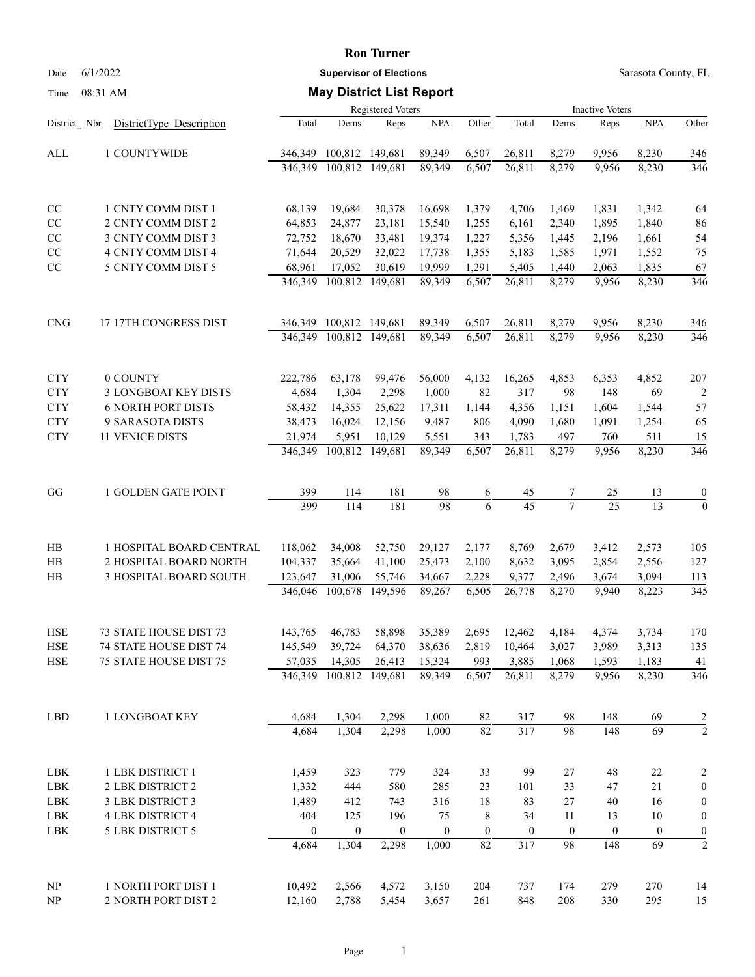#### **Ron Turner**

Date 6/1/2022 **Supervisor of Elections** Supervisor **Supervisor of Elections** Sarasota County, FL

### Time 08:31 AM **May District List Report**

|                |                               | Registered Voters |                  |                  |                  |                  | <b>Inactive Voters</b> |                  |                  |                  |                         |  |
|----------------|-------------------------------|-------------------|------------------|------------------|------------------|------------------|------------------------|------------------|------------------|------------------|-------------------------|--|
| District Nbr   | DistrictType Description      | Total             | Dems             | Reps             | NPA              | Other            | Total                  | Dems             | Reps             | <b>NPA</b>       | Other                   |  |
| ALL            | 1 COUNTYWIDE                  | 346,349           | 100,812 149,681  |                  | 89,349           | 6,507            | 26,811                 | 8,279            | 9,956            | 8,230            | 346                     |  |
|                |                               | 346,349           | 100,812 149,681  |                  | 89,349           | 6,507            | 26,811                 | 8,279            | 9,956            | 8,230            | 346                     |  |
| CC             | 1 CNTY COMM DIST 1            | 68,139            | 19,684           | 30,378           | 16,698           | 1,379            | 4,706                  | 1,469            | 1,831            | 1,342            | 64                      |  |
| $\rm CC$       | 2 CNTY COMM DIST 2            | 64,853            | 24,877           | 23,181           | 15,540           | 1,255            | 6,161                  | 2,340            | 1,895            | 1,840            | 86                      |  |
| $\rm CC$       | 3 CNTY COMM DIST 3            | 72,752            | 18,670           | 33,481           | 19,374           | 1,227            | 5,356                  | 1,445            | 2,196            | 1,661            | 54                      |  |
| $\rm CC$       | 4 CNTY COMM DIST 4            | 71,644            | 20,529           | 32,022           | 17,738           | 1,355            | 5,183                  | 1,585            | 1,971            | 1,552            | 75                      |  |
| $\rm CC$       | 5 CNTY COMM DIST 5            | 68,961            | 17,052           | 30,619           | 19,999           | 1,291            | 5,405                  | 1,440            | 2,063            | 1,835            | 67                      |  |
|                |                               | 346,349           | 100,812          | 149,681          | 89,349           | 6,507            | 26,811                 | 8,279            | 9,956            | 8,230            | 346                     |  |
| <b>CNG</b>     | 17 17TH CONGRESS DIST         | 346,349           | 100,812 149,681  |                  | 89,349           | 6,507            | 26,811                 | 8,279            | 9,956            | 8,230            | 346                     |  |
|                |                               | 346,349           | 100,812          | 149,681          | 89,349           | 6,507            | 26,811                 | 8,279            | 9,956            | 8,230            | 346                     |  |
| <b>CTY</b>     | 0 COUNTY                      | 222,786           | 63,178           | 99,476           | 56,000           | 4,132            | 16,265                 | 4,853            | 6,353            | 4,852            | 207                     |  |
| <b>CTY</b>     | 3 LONGBOAT KEY DISTS          | 4,684             | 1,304            | 2,298            | 1,000            | 82               | 317                    | 98               | 148              | 69               | $\overline{2}$          |  |
| <b>CTY</b>     | <b>6 NORTH PORT DISTS</b>     | 58,432            | 14,355           | 25,622           | 17,311           | 1,144            | 4,356                  | 1,151            | 1,604            | 1,544            | 57                      |  |
| <b>CTY</b>     | 9 SARASOTA DISTS              | 38,473            | 16,024           | 12,156           | 9,487            | 806              | 4,090                  | 1,680            | 1,091            | 1,254            | 65                      |  |
| <b>CTY</b>     | 11 VENICE DISTS               | 21,974            | 5,951            | 10,129           | 5,551            | 343              | 1,783                  | 497              | 760              | 511              | 15                      |  |
|                |                               | 346,349           | 100,812          | 149,681          | 89,349           | 6,507            | 26,811                 | 8,279            | 9,956            | 8,230            | 346                     |  |
| GG             | 1 GOLDEN GATE POINT           | 399               | 114              | 181              | 98               | 6                | 45                     | 7                | 25               | 13               | $\boldsymbol{0}$        |  |
|                |                               | 399               | 114              | 181              | 98               | 6                | 45                     | $\tau$           | 25               | 13               | $\mathbf{0}$            |  |
| HB             | 1 HOSPITAL BOARD CENTRAL      | 118,062           | 34,008           | 52,750           | 29,127           | 2,177            | 8,769                  | 2,679            | 3,412            | 2,573            | 105                     |  |
| H <sub>B</sub> | 2 HOSPITAL BOARD NORTH        | 104,337           | 35,664           | 41,100           | 25,473           | 2,100            | 8,632                  | 3,095            | 2,854            | 2,556            | 127                     |  |
| HB             | 3 HOSPITAL BOARD SOUTH        | 123,647           | 31,006           | 55,746           | 34,667           | 2,228            | 9,377                  | 2,496            | 3,674            | 3,094            | 113                     |  |
|                |                               | 346,046           | 100,678          | 149,596          | 89,267           | 6,505            | 26,778                 | 8,270            | 9,940            | 8,223            | 345                     |  |
| HSE            | 73 STATE HOUSE DIST 73        | 143,765           | 46,783           | 58,898           | 35,389           | 2,695            | 12,462                 | 4,184            | 4,374            | 3,734            | 170                     |  |
| <b>HSE</b>     | <b>74 STATE HOUSE DIST 74</b> | 145,549           | 39,724           | 64,370           | 38,636           | 2,819            | 10,464                 | 3,027            | 3,989            | 3,313            | 135                     |  |
| <b>HSE</b>     | 75 STATE HOUSE DIST 75        | 57,035            | 14,305           | 26,413           | 15,324           | 993              | 3,885                  | 1,068            | 1,593            | 1,183            | 41                      |  |
|                |                               | 346,349           | 100,812 149,681  |                  | 89,349           | 6,507            | 26,811                 | 8,279            | 9,956            | 8,230            | 346                     |  |
| LBD            | 1 LONGBOAT KEY                | 4,684             | 1,304            | 2,298            | 1,000            | 82               | 317                    | 98               | 148              | 69               |                         |  |
|                |                               | 4,684             | 1,304            | 2,298            | 1,000            | $\overline{82}$  | 317                    | 98               | 148              | $\overline{69}$  | $\frac{2}{2}$           |  |
| LBK            | 1 LBK DISTRICT 1              | 1,459             | 323              | 779              | 324              | 33               | 99                     | 27               | 48               | $22\,$           | $\overline{\mathbf{c}}$ |  |
| LBK            | 2 LBK DISTRICT 2              | 1,332             | 444              | 580              | 285              | 23               | 101                    | 33               | 47               | 21               | $\boldsymbol{0}$        |  |
| LBK            | 3 LBK DISTRICT 3              | 1,489             | 412              | 743              | 316              | 18               | 83                     | $27\,$           | 40               | 16               | $\boldsymbol{0}$        |  |
| LBK            | <b>4 LBK DISTRICT 4</b>       | 404               | 125              | 196              | 75               | 8                | 34                     | 11               | 13               | 10               | $\boldsymbol{0}$        |  |
| LBK            | 5 LBK DISTRICT 5              | $\boldsymbol{0}$  | $\boldsymbol{0}$ | $\boldsymbol{0}$ | $\boldsymbol{0}$ | $\boldsymbol{0}$ | $\mathbf{0}$           | $\boldsymbol{0}$ | $\boldsymbol{0}$ | $\boldsymbol{0}$ | $\boldsymbol{0}$        |  |
|                |                               | 4,684             | 1,304            | 2,298            | 1,000            | 82               | 317                    | 98               | 148              | 69               | $\overline{2}$          |  |
| NP             | 1 NORTH PORT DIST 1           | 10,492            | 2,566            | 4,572            | 3,150            | 204              | 737                    | 174              | 279              | 270              | 14                      |  |
| NP             | 2 NORTH PORT DIST 2           | 12,160            | 2,788            | 5,454            | 3,657            | 261              | 848                    | 208              | 330              | 295              | 15                      |  |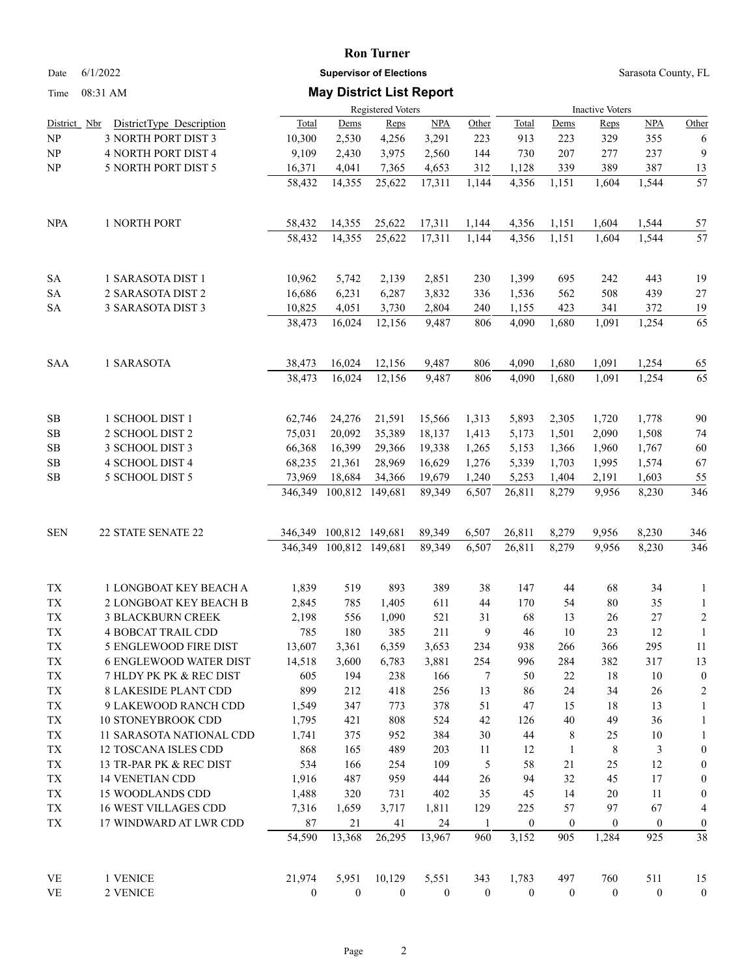### **Ron Turner**

Date 6/1/2022 **Supervisor of Elections** Supervisor **Supervisor of Elections** Sarasota County, FL

## Time 08:31 AM **May District List Report**

| 1 <sub>1</sub> me | $0\delta$ :31 AM                                |                          |                   | <b>MAY DISTRUCT LIST REPOIT</b> |                  |                  |                        |                    |                  |                      |                                      |  |
|-------------------|-------------------------------------------------|--------------------------|-------------------|---------------------------------|------------------|------------------|------------------------|--------------------|------------------|----------------------|--------------------------------------|--|
|                   |                                                 | <b>Registered Voters</b> |                   |                                 |                  |                  | <b>Inactive Voters</b> |                    |                  |                      |                                      |  |
| District Nbr      | DistrictType Description                        | Total                    | Dems              | Reps                            | <b>NPA</b>       | Other            | <b>Total</b>           | <u>Dems</u>        | Reps             | <b>NPA</b>           | Other                                |  |
| NP                | 3 NORTH PORT DIST 3                             | 10,300                   | 2,530             | 4,256                           | 3,291            | 223              | 913                    | 223                | 329              | 355                  | 6                                    |  |
| NP                | 4 NORTH PORT DIST 4                             | 9,109                    | 2,430             | 3,975                           | 2,560            | 144              | 730                    | 207                | 277              | 237                  | 9                                    |  |
| NP                | 5 NORTH PORT DIST 5                             | 16,371                   | 4,041             | 7,365                           | 4,653            | 312              | 1,128                  | 339                | 389              | 387                  | 13                                   |  |
|                   |                                                 | 58,432                   | 14,355            | 25,622                          | 17,311           | 1,144            | 4,356                  | 1,151              | 1,604            | 1,544                | $\overline{57}$                      |  |
| <b>NPA</b>        | 1 NORTH PORT                                    | 58,432                   | 14,355            | 25,622                          | 17,311           | 1,144            | 4,356                  | 1,151              | 1,604            | 1,544                | 57                                   |  |
|                   |                                                 | 58,432                   | 14,355            | 25,622                          | 17,311           | 1,144            | 4,356                  | 1,151              | 1,604            | 1,544                | 57                                   |  |
| <b>SA</b>         | 1 SARASOTA DIST 1                               | 10,962                   | 5,742             | 2,139                           | 2,851            | 230              | 1,399                  | 695                | 242              | 443                  | 19                                   |  |
| ${\rm SA}$        | 2 SARASOTA DIST 2                               | 16,686                   | 6,231             | 6,287                           | 3,832            | 336              | 1,536                  | 562                | 508              | 439                  | $27\,$                               |  |
| <b>SA</b>         | 3 SARASOTA DIST 3                               | 10,825                   | 4,051             | 3,730                           | 2,804            | 240              | 1,155                  | 423                | 341              | 372                  | 19                                   |  |
|                   |                                                 | 38,473                   | 16,024            | 12,156                          | 9,487            | 806              | 4,090                  | 1,680              | 1,091            | 1,254                | 65                                   |  |
| <b>SAA</b>        | 1 SARASOTA                                      | 38,473                   | 16,024            | 12,156                          | 9,487            | 806              | 4,090                  | 1,680              | 1,091            | 1,254                | 65                                   |  |
|                   |                                                 | 38,473                   | 16,024            | 12,156                          | 9,487            | 806              | 4,090                  | 1,680              | 1,091            | 1,254                | 65                                   |  |
| SB                | 1 SCHOOL DIST 1                                 | 62,746                   | 24,276            | 21,591                          | 15,566           | 1,313            | 5,893                  | 2,305              | 1,720            | 1,778                | 90                                   |  |
| $\rm SB$          | 2 SCHOOL DIST 2                                 | 75,031                   | 20,092            | 35,389                          | 18,137           | 1,413            | 5,173                  | 1,501              | 2,090            | 1,508                | 74                                   |  |
| ${\bf SB}$        | 3 SCHOOL DIST 3                                 | 66,368                   | 16,399            | 29,366                          | 19,338           | 1,265            | 5,153                  | 1,366              | 1,960            | 1,767                | 60                                   |  |
| $\rm SB$          | 4 SCHOOL DIST 4                                 | 68,235                   | 21,361            | 28,969                          | 16,629           | 1,276            | 5,339                  | 1,703              | 1,995            | 1,574                | 67                                   |  |
| SB                | 5 SCHOOL DIST 5                                 | 73,969<br>346,349        | 18,684<br>100,812 | 34,366<br>149,681               | 19,679<br>89,349 | 1,240<br>6,507   | 5,253<br>26,811        | 1,404<br>8,279     | 2,191<br>9,956   | 1,603<br>8,230       | 55<br>346                            |  |
|                   |                                                 |                          |                   |                                 |                  |                  |                        |                    |                  |                      |                                      |  |
| <b>SEN</b>        | 22 STATE SENATE 22                              | 346,349<br>346,349       | 100,812 149,681   | 100,812 149,681                 | 89,349<br>89,349 | 6,507<br>6,507   | 26,811<br>26,811       | 8,279<br>8,279     | 9,956<br>9,956   | 8,230<br>8,230       | 346<br>346                           |  |
|                   |                                                 |                          |                   |                                 |                  |                  |                        |                    |                  |                      |                                      |  |
| TX                | 1 LONGBOAT KEY BEACH A                          | 1,839                    | 519               | 893                             | 389              | 38               | 147                    | 44                 | 68               | 34                   | $\mathbf{1}$                         |  |
| ${\rm TX}$        | 2 LONGBOAT KEY BEACH B                          | 2,845                    | 785               | 1,405                           | 611              | 44               | 170                    | 54                 | 80               | 35                   | $\mathbf{1}$                         |  |
| ${\rm TX}$        | <b>3 BLACKBURN CREEK</b>                        | 2,198                    | 556               | 1,090                           | 521              | 31               | 68                     | 13                 | 26               | $27\,$               | $\sqrt{2}$                           |  |
| TX                | <b>4 BOBCAT TRAIL CDD</b>                       | 785                      | 180               | 385                             | 211              | 9                | 46                     | 10                 | 23               | 12                   | $\mathbf{1}$                         |  |
| ${\rm TX}$        | 5 ENGLEWOOD FIRE DIST                           | 13,607                   | 3,361             | 6,359                           | 3,653            | 234              | 938                    | 266                | 366              | 295                  | 11                                   |  |
| TX                | <b>6 ENGLEWOOD WATER DIST</b>                   | 14,518                   | 3,600             | 6,783                           | 3,881            | 254              | 996                    | 284                | 382              | 317                  | 13                                   |  |
| TX                | 7 HLDY PK PK & REC DIST                         | 605                      | 194               | 238                             | 166              | 7                | 50                     | 22                 | 18               | 10                   | $\boldsymbol{0}$                     |  |
| TX                | <b>8 LAKESIDE PLANT CDD</b>                     | 899                      | 212               | 418                             | 256              | 13               | 86                     | 24                 | 34               | 26                   | $\overline{c}$                       |  |
| TX                | 9 LAKEWOOD RANCH CDD                            | 1,549                    | 347               | 773                             | 378              | 51               | 47                     | 15                 | 18               | 13                   | $\mathbf{1}$                         |  |
| TX                | 10 STONEYBROOK CDD                              | 1,795                    | 421               | 808                             | 524              | 42               | 126                    | 40                 | 49               | 36                   | $\mathbf{1}$                         |  |
| TX                | 11 SARASOTA NATIONAL CDD                        | 1,741                    | 375               | 952                             | 384              | $30\,$           | 44                     | 8                  | 25               | 10                   | $\mathbf{1}$                         |  |
| ${\rm TX}$<br>TX  | 12 TOSCANA ISLES CDD<br>13 TR-PAR PK & REC DIST | 868<br>534               | 165<br>166        | 489<br>254                      | 203<br>109       | 11<br>5          | 12<br>58               | $\mathbf{1}$<br>21 | $\,8\,$<br>25    | $\mathfrak{Z}$<br>12 | $\boldsymbol{0}$<br>$\boldsymbol{0}$ |  |
| TX                | 14 VENETIAN CDD                                 | 1,916                    | 487               | 959                             | 444              | 26               | 94                     | 32                 | 45               | 17                   | $\boldsymbol{0}$                     |  |
| TX                | 15 WOODLANDS CDD                                | 1,488                    | 320               | 731                             | 402              | 35               | 45                     | 14                 | 20               | 11                   | $\boldsymbol{0}$                     |  |
| TX                | <b>16 WEST VILLAGES CDD</b>                     | 7,316                    | 1,659             | 3,717                           | 1,811            | 129              | 225                    | 57                 | 97               | 67                   | 4                                    |  |
| TX                | 17 WINDWARD AT LWR CDD                          | $87\,$                   | 21                | 41                              | 24               | $\mathbf{1}$     | $\mathbf{0}$           | $\boldsymbol{0}$   | $\boldsymbol{0}$ | $\boldsymbol{0}$     | $\boldsymbol{0}$                     |  |
|                   |                                                 | 54,590                   | 13,368            | 26,295                          | 13,967           | 960              | 3,152                  | 905                | 1,284            | 925                  | 38                                   |  |
| VE                | 1 VENICE                                        | 21,974                   | 5,951             | 10,129                          | 5,551            | 343              | 1,783                  | 497                | 760              | 511                  | 15                                   |  |
| <b>VE</b>         | 2 VENICE                                        | $\mathbf{0}$             | $\boldsymbol{0}$  | $\mathbf{0}$                    | $\boldsymbol{0}$ | $\boldsymbol{0}$ | $\mathbf{0}$           | $\mathbf{0}$       | $\boldsymbol{0}$ | $\boldsymbol{0}$     | $\boldsymbol{0}$                     |  |
|                   |                                                 |                          |                   |                                 |                  |                  |                        |                    |                  |                      |                                      |  |